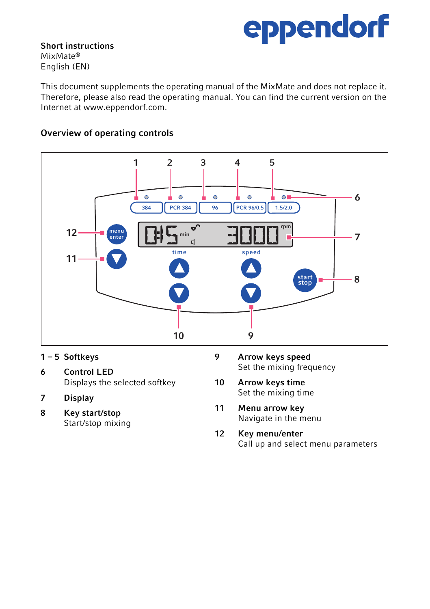## eppendorf

Short instructions MixMate® English (EN)

This document supplements the operating manual of the MixMate and does not replace it. Therefore, please also read the operating manual. You can find the current version on the Internet at www.eppendorf.com.

## Overview of operating controls



- 1 5 Softkeys
- 6 Control LED Displays the selected softkey
- 7 Display
- 8 Key start/stop Start/stop mixing
- 9 Arrow keys speed Set the mixing frequency
- 10 Arrow keys time Set the mixing time
- 11 Menu arrow key Navigate in the menu
- 12 Key menu/enter Call up and select menu parameters